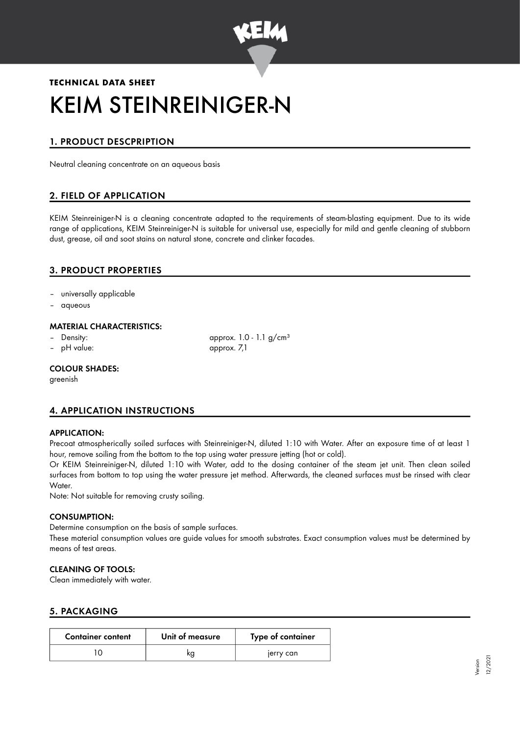

# **TECHNICAL DATA SHEET** KEIM STEINREINIGER-N

# 1. PRODUCT DESCPRIPTION

Neutral cleaning concentrate on an aqueous basis

# 2. FIELD OF APPLICATION

KEIM Steinreiniger-N is a cleaning concentrate adapted to the requirements of steam-blasting equipment. Due to its wide range of applications, KEIM Steinreiniger-N is suitable for universal use, especially for mild and gentle cleaning of stubborn dust, grease, oil and soot stains on natural stone, concrete and clinker facades.

## 3. PRODUCT PROPERTIES

- universally applicable
- aqueous

#### MATERIAL CHARACTERISTICS:

- 
- 

Density: approx. 1.0 - 1.1 g/cm<sup>3</sup> – pH value: approx. 7,1

#### COLOUR SHADES:

greenish

# 4. APPLICATION INSTRUCTIONS

#### APPLICATION:

Precoat atmospherically soiled surfaces with Steinreiniger-N, diluted 1:10 with Water. After an exposure time of at least 1 hour, remove soiling from the bottom to the top using water pressure jetting (hot or cold).

Or KEIM Steinreiniger-N, diluted 1:10 with Water, add to the dosing container of the steam jet unit. Then clean soiled surfaces from bottom to top using the water pressure jet method. Afterwards, the cleaned surfaces must be rinsed with clear Water.

Note: Not suitable for removing crusty soiling.

#### CONSUMPTION:

Determine consumption on the basis of sample surfaces.

These material consumption values are guide values for smooth substrates. Exact consumption values must be determined by means of test areas.

### CLEANING OF TOOLS:

Clean immediately with water.

### 5. PACKAGING

| <b>Container content</b> | Unit of measure | Type of container |
|--------------------------|-----------------|-------------------|
|                          | ĸu              | jerry can         |